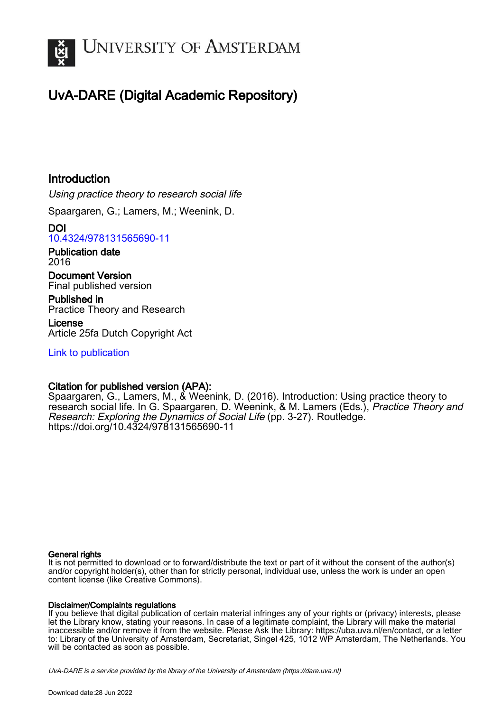

# UvA-DARE (Digital Academic Repository)

## **Introduction**

Using practice theory to research social life

Spaargaren, G.; Lamers, M.; Weenink, D.

DOI [10.4324/978131565690-11](https://doi.org/10.4324/978131565690-11)

Publication date 2016

Document Version Final published version

Published in Practice Theory and Research

License Article 25fa Dutch Copyright Act

[Link to publication](https://dare.uva.nl/personal/pure/en/publications/introduction(4fd174c8-549e-4f4c-a3e5-b270a69eb68e).html)

## Citation for published version (APA):

Spaargaren, G., Lamers, M., & Weenink, D. (2016). Introduction: Using practice theory to research social life. In G. Spaargaren, D. Weenink, & M. Lamers (Eds.), Practice Theory and Research: Exploring the Dynamics of Social Life (pp. 3-27). Routledge. <https://doi.org/10.4324/978131565690-11>

## General rights

It is not permitted to download or to forward/distribute the text or part of it without the consent of the author(s) and/or copyright holder(s), other than for strictly personal, individual use, unless the work is under an open content license (like Creative Commons).

## Disclaimer/Complaints regulations

If you believe that digital publication of certain material infringes any of your rights or (privacy) interests, please let the Library know, stating your reasons. In case of a legitimate complaint, the Library will make the material inaccessible and/or remove it from the website. Please Ask the Library: https://uba.uva.nl/en/contact, or a letter to: Library of the University of Amsterdam, Secretariat, Singel 425, 1012 WP Amsterdam, The Netherlands. You will be contacted as soon as possible.

UvA-DARE is a service provided by the library of the University of Amsterdam (http*s*://dare.uva.nl)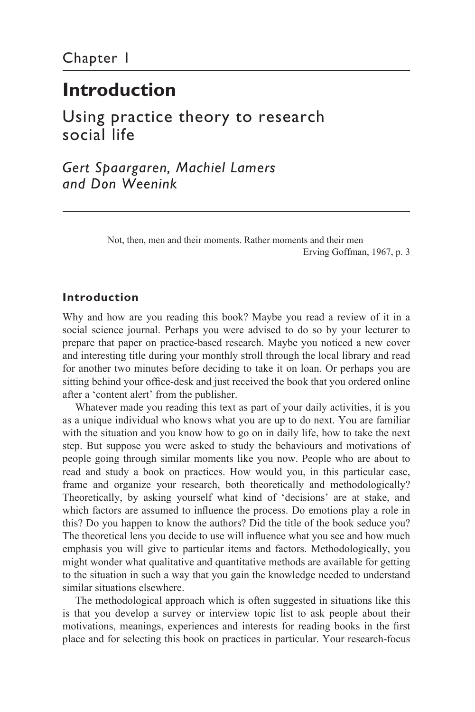## **Introduction**

[Using practice theory to research](#page--1-0)  social life

*Gert Spaargaren, Machiel Lamers and Don Weenink*

> Not, then, men and their moments. Rather moments and their men Erving Goffman, 1967, p. 3

## **Introduction**

Why and how are you reading this book? Maybe you read a review of it in a social science journal. Perhaps you were advised to do so by your lecturer to prepare that paper on practice- based research. Maybe you noticed a new cover and interesting title during your monthly stroll through the local library and read for another two minutes before deciding to take it on loan. Or perhaps you are sitting behind your office- desk and just received the book that you ordered online after a 'content alert' from the publisher.

 Whatever made you reading this text as part of your daily activities, it is you as a unique individual who knows what you are up to do next. You are familiar with the situation and you know how to go on in daily life, how to take the next step. But suppose you were asked to study the behaviours and motivations of people going through similar moments like you now. People who are about to read and study a book on practices. How would you, in this particular case, frame and organize your research, both theoretically and methodologically? Theoretically, by asking yourself what kind of 'decisions' are at stake, and which factors are assumed to influence the process. Do emotions play a role in this? Do you happen to know the authors? Did the title of the book seduce you? The theoretical lens you decide to use will influence what you see and how much emphasis you will give to particular items and factors. Methodologically, you might wonder what qualitative and quantitative methods are available for getting to the situation in such a way that you gain the knowledge needed to understand similar situations elsewhere.

 The methodological approach which is often suggested in situations like this is that you develop a survey or interview topic list to ask people about their motivations, meanings, experiences and interests for reading books in the first place and for selecting this book on practices in particular. Your research- focus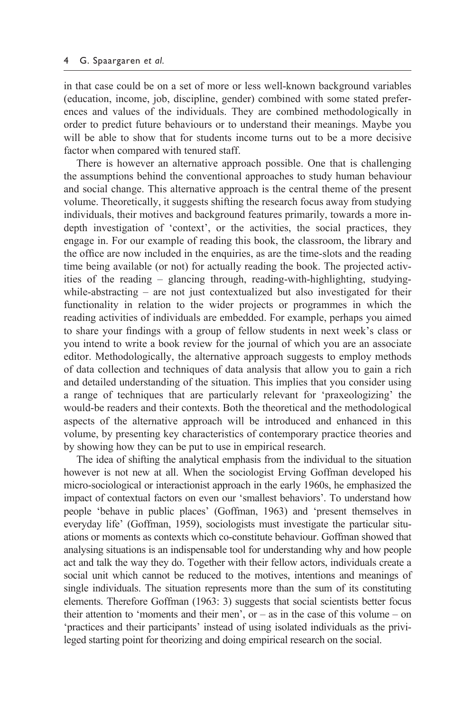in that case could be on a set of more or less well- known background variables (education, income, job, discipline, gender) combined with some stated preferences and values of the individuals. They are combined methodologically in order to predict future behaviours or to understand their meanings. Maybe you will be able to show that for students income turns out to be a more decisive factor when compared with tenured staff.

 There is however an alternative approach possible. One that is challenging the assumptions behind the conventional approaches to study human behaviour and social change. This alternative approach is the central theme of the present volume. Theoretically, it suggests shifting the research focus away from studying individuals, their motives and background features primarily, towards a more indepth investigation of 'context', or the activities, the social practices, they engage in. For our example of reading this book, the classroom, the library and the office are now included in the enquiries, as are the time- slots and the reading time being available (or not) for actually reading the book. The projected activities of the reading – glancing through, reading- with-highlighting, studyingwhile-abstracting – are not just contextualized but also investigated for their functionality in relation to the wider projects or programmes in which the reading activities of individuals are embedded. For example, perhaps you aimed to share your findings with a group of fellow students in next week's class or you intend to write a book review for the journal of which you are an associate editor. Methodologically, the alternative approach suggests to employ methods of data collection and techniques of data analysis that allow you to gain a rich and detailed understanding of the situation. This implies that you consider using a range of techniques that are particularly relevant for 'praxeologizing' the would- be readers and their contexts. Both the theoretical and the methodological aspects of the alternative approach will be introduced and enhanced in this volume, by presenting key characteristics of contemporary practice theories and by showing how they can be put to use in empirical research.

 The idea of shifting the analytical emphasis from the individual to the situation however is not new at all. When the sociologist Erving Goffman developed his micro- sociological or interactionist approach in the early 1960s, he emphasized the impact of contextual factors on even our 'smallest behaviors'. To understand how people 'behave in public places' (Goffman, 1963) and 'present themselves in everyday life' (Goffman, 1959), sociologists must investigate the particular situations or moments as contexts which co- constitute behaviour. Goffman showed that analysing situations is an indispensable tool for understanding why and how people act and talk the way they do. Together with their fellow actors, individuals create a social unit which cannot be reduced to the motives, intentions and meanings of single individuals. The situation represents more than the sum of its constituting elements. Therefore Goffman (1963: 3) suggests that social scientists better focus their attention to 'moments and their men', or  $-$  as in the case of this volume  $-$  on 'practices and their participants' instead of using isolated individuals as the privileged starting point for theorizing and doing empirical research on the social.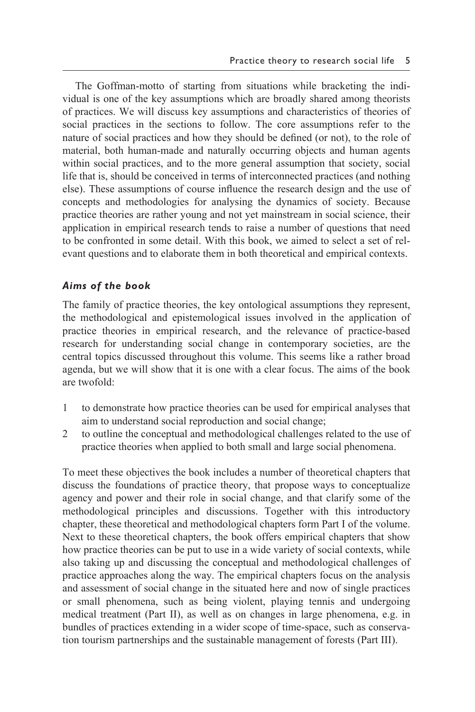The Goffman- motto of starting from situations while bracketing the individual is one of the key assumptions which are broadly shared among theorists of practices. We will discuss key assumptions and characteristics of theories of social practices in the sections to follow. The core assumptions refer to the nature of social practices and how they should be defined (or not), to the role of material, both human-made and naturally occurring objects and human agents within social practices, and to the more general assumption that society, social life that is, should be conceived in terms of interconnected practices (and nothing else). These assumptions of course influence the research design and the use of concepts and methodologies for analysing the dynamics of society. Because practice theories are rather young and not yet mainstream in social science, their application in empirical research tends to raise a number of questions that need to be confronted in some detail. With this book, we aimed to select a set of relevant questions and to elaborate them in both theoretical and empirical contexts.

#### *Aims of the book*

The family of practice theories, the key ontological assumptions they represent, the methodological and epistemological issues involved in the application of practice theories in empirical research, and the relevance of practice-based research for understanding social change in contemporary societies, are the central topics discussed throughout this volume. This seems like a rather broad agenda, but we will show that it is one with a clear focus. The aims of the book are twofold:

- 1 to demonstrate how practice theories can be used for empirical analyses that aim to understand social reproduction and social change;
- 2 to outline the conceptual and methodological challenges related to the use of practice theories when applied to both small and large social phenomena.

To meet these objectives the book includes a number of theoretical chapters that discuss the foundations of practice theory, that propose ways to conceptualize agency and power and their role in social change, and that clarify some of the methodological principles and discussions. Together with this [introductory](#page--1-0)  [chapter,](#page--1-0) these theoretical and methodological chapters form [Part I](#page--1-0) of the volume. Next to these theoretical chapters, the book offers empirical chapters that show how practice theories can be put to use in a wide variety of social contexts, while also taking up and discussing the conceptual and methodological challenges of practice approaches along the way. The empirical chapters focus on the analysis and assessment of social change in the situated here and now of single practices or small phenomena, such as being violent, playing tennis and undergoing medical treatment [\(Part II\)](#page--1-0), as well as on changes in large phenomena, e.g. in bundles of practices extending in a wider scope of time- space, such as conservation tourism partnerships and the sustainable management of forests [\(Part III\).](#page--1-0)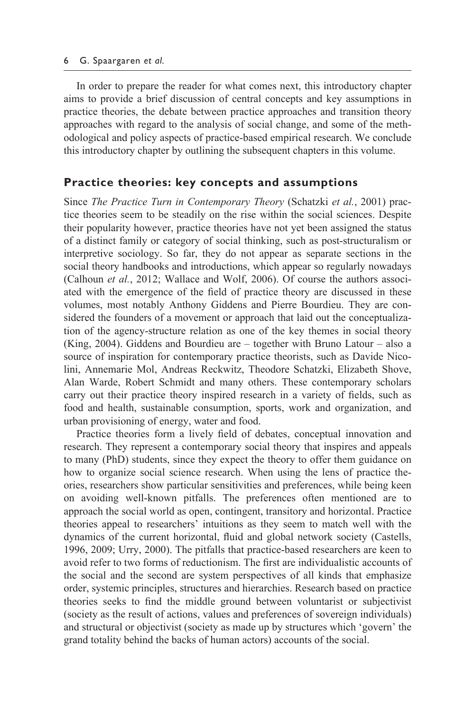In order to prepare the reader for what comes next, this [introductory chapter](#page--1-0)  aims to provide a brief discussion of central concepts and key assumptions in practice theories, the debate between practice approaches and transition theory approaches with regard to the analysis of social change, and some of the methodological and policy aspects of practice- based empirical research. We conclude this [introductory chapter](#page--1-0) by outlining the subsequent chapters in this volume.

## **Practice theories: key concepts and assumptions**

Since *The Practice Turn in Contemporary Theory* (Schatzki *et al.*, 2001) practice theories seem to be steadily on the rise within the social sciences. Despite their popularity however, practice theories have not yet been assigned the status of a distinct family or category of social thinking, such as post- structuralism or interpretive sociology. So far, they do not appear as separate sections in the social theory handbooks and introductions, which appear so regularly nowadays (Calhoun *et al.*, 2012; Wallace and Wolf, 2006). Of course the authors associated with the emergence of the field of practice theory are discussed in these volumes, most notably Anthony Giddens and Pierre Bourdieu. They are considered the founders of a movement or approach that laid out the conceptualization of the agency- structure relation as one of the key themes in social theory (King, 2004). Giddens and Bourdieu are – together with Bruno Latour – also a source of inspiration for contemporary practice theorists, such as Davide Nicolini, Annemarie Mol, Andreas Reckwitz, Theodore Schatzki, Elizabeth Shove, Alan Warde, Robert Schmidt and many others. These contemporary scholars carry out their practice theory inspired research in a variety of fields, such as food and health, sustainable consumption, sports, work and organization, and urban provisioning of energy, water and food.

 Practice theories form a lively field of debates, conceptual innovation and research. They represent a contemporary social theory that inspires and appeals to many (PhD) students, since they expect the theory to offer them guidance on how to organize social science research. When using the lens of practice theories, researchers show particular sensitivities and preferences, while being keen on avoiding well-known pitfalls. The preferences often mentioned are to approach the social world as open, contingent, transitory and horizontal. Practice theories appeal to researchers' intuitions as they seem to match well with the dynamics of the current horizontal, fluid and global network society (Castells, 1996, 2009; Urry, 2000). The pitfalls that practice- based researchers are keen to avoid refer to two forms of reductionism. The first are individualistic accounts of the social and the second are system perspectives of all kinds that emphasize order, systemic principles, structures and hierarchies. Research based on practice theories seeks to find the middle ground between voluntarist or subjectivist (society as the result of actions, values and preferences of sovereign individuals) and structural or objectivist (society as made up by structures which 'govern' the grand totality behind the backs of human actors) accounts of the social.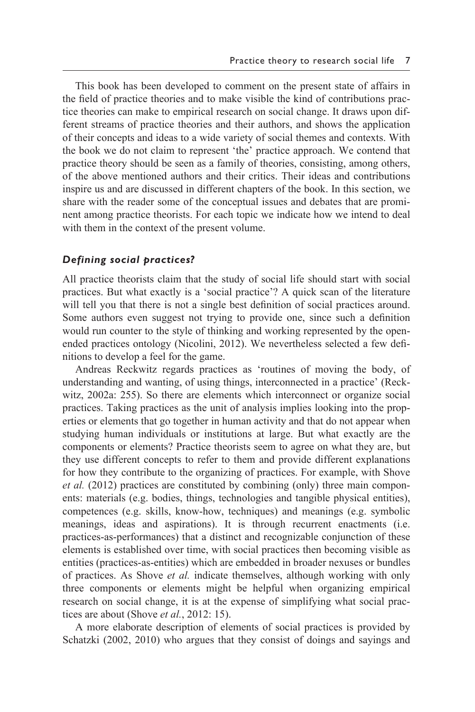This book has been developed to comment on the present state of affairs in the field of practice theories and to make visible the kind of contributions practice theories can make to empirical research on social change. It draws upon different streams of practice theories and their authors, and shows the application of their concepts and ideas to a wide variety of social themes and contexts. With the book we do not claim to represent 'the' practice approach. We contend that practice theory should be seen as a family of theories, consisting, among others, of the above mentioned authors and their critics. Their ideas and contributions inspire us and are discussed in different chapters of the book. In this section, we share with the reader some of the conceptual issues and debates that are prominent among practice theorists. For each topic we indicate how we intend to deal with them in the context of the present volume.

#### *Defining social practices?*

All practice theorists claim that the study of social life should start with social practices. But what exactly is a 'social practice'? A quick scan of the literature will tell you that there is not a single best definition of social practices around. Some authors even suggest not trying to provide one, since such a definition would run counter to the style of thinking and working represented by the openended practices ontology (Nicolini, 2012). We nevertheless selected a few definitions to develop a feel for the game.

 Andreas Reckwitz regards practices as 'routines of moving the body, of understanding and wanting, of using things, interconnected in a practice' (Reckwitz, 2002a: 255). So there are elements which interconnect or organize social practices. Taking practices as the unit of analysis implies looking into the properties or elements that go together in human activity and that do not appear when studying human individuals or institutions at large. But what exactly are the components or elements? Practice theorists seem to agree on what they are, but they use different concepts to refer to them and provide different explanations for how they contribute to the organizing of practices. For example, with Shove *et al.* (2012) practices are constituted by combining (only) three main components: materials (e.g. bodies, things, technologies and tangible physical entities), competences (e.g. skills, know- how, techniques) and meanings (e.g. symbolic meanings, ideas and aspirations). It is through recurrent enactments (i.e. practices- as-performances) that a distinct and recognizable conjunction of these elements is established over time, with social practices then becoming visible as entities (practices-as-entities) which are embedded in broader nexuses or bundles of practices. As Shove *et al.* indicate themselves, although working with only three components or elements might be helpful when organizing empirical research on social change, it is at the expense of simplifying what social practices are about (Shove *et al.*, 2012: 15).

 A more elaborate description of elements of social practices is provided by Schatzki (2002, 2010) who argues that they consist of doings and sayings and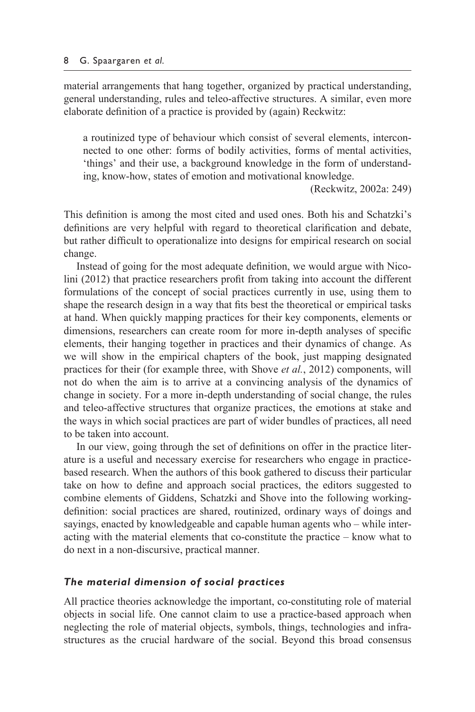material arrangements that hang together, organized by practical understanding, general understanding, rules and teleo- affective structures. A similar, even more elaborate definition of a practice is provided by (again) Reckwitz:

a routinized type of behaviour which consist of several elements, interconnected to one other: forms of bodily activities, forms of mental activities, 'things' and their use, a background knowledge in the form of understanding, know-how, states of emotion and motivational knowledge.

(Reckwitz, 2002a: 249)

This definition is among the most cited and used ones. Both his and Schatzki's definitions are very helpful with regard to theoretical clarification and debate, but rather difficult to operationalize into designs for empirical research on social change.

 Instead of going for the most adequate definition, we would argue with Nicolini (2012) that practice researchers profit from taking into account the different formulations of the concept of social practices currently in use, using them to shape the research design in a way that fits best the theoretical or empirical tasks at hand. When quickly mapping practices for their key components, elements or dimensions, researchers can create room for more in- depth analyses of specific elements, their hanging together in practices and their dynamics of change. As we will show in the empirical chapters of the book, just mapping designated practices for their (for example three, with Shove *et al.*, 2012) components, will not do when the aim is to arrive at a convincing analysis of the dynamics of change in society. For a more in- depth understanding of social change, the rules and teleo-affective structures that organize practices, the emotions at stake and the ways in which social practices are part of wider bundles of practices, all need to be taken into account.

 In our view, going through the set of definitions on offer in the practice literature is a useful and necessary exercise for researchers who engage in practicebased research. When the authors of this book gathered to discuss their particular take on how to define and approach social practices, the editors suggested to combine elements of Giddens, Schatzki and Shove into the following workingdefinition: social practices are shared, routinized, ordinary ways of doings and sayings, enacted by knowledgeable and capable human agents who – while interacting with the material elements that co-constitute the practice – know what to do next in a non- discursive, practical manner.

#### *The material dimension of social practices*

All practice theories acknowledge the important, co- constituting role of material objects in social life. One cannot claim to use a practice- based approach when neglecting the role of material objects, symbols, things, technologies and infrastructures as the crucial hardware of the social. Beyond this broad consensus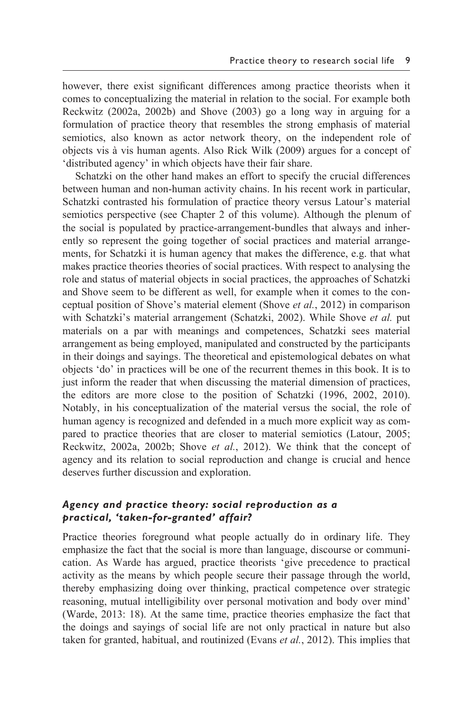however, there exist significant differences among practice theorists when it comes to conceptualizing the material in relation to the social. For example both Reckwitz (2002a, 2002b) and Shove (2003) go a long way in arguing for a formulation of practice theory that resembles the strong emphasis of material semiotics, also known as actor network theory, on the independent role of objects vis à vis human agents. Also Rick Wilk (2009) argues for a concept of 'distributed agency' in which objects have their fair share.

 Schatzki on the other hand makes an effort to specify the crucial differences between human and non-human activity chains. In his recent work in particular, Schatzki contrasted his formulation of practice theory versus Latour's material semiotics perspective (see [Chapter 2](#page--1-0) of this volume). Although the plenum of the social is populated by practice- arrangement-bundles that always and inherently so represent the going together of social practices and material arrangements, for Schatzki it is human agency that makes the difference, e.g. that what makes practice theories theories of social practices. With respect to analysing the role and status of material objects in social practices, the approaches of Schatzki and Shove seem to be different as well, for example when it comes to the conceptual position of Shove's material element (Shove *et al.*, 2012) in comparison with Schatzki's material arrangement (Schatzki, 2002). While Shove *et al.* put materials on a par with meanings and competences, Schatzki sees material arrangement as being employed, manipulated and constructed by the participants in their doings and sayings. The theoretical and epistemological debates on what objects 'do' in practices will be one of the recurrent themes in this book. It is to just inform the reader that when discussing the material dimension of practices, the editors are more close to the position of Schatzki (1996, 2002, 2010). Notably, in his conceptualization of the material versus the social, the role of human agency is recognized and defended in a much more explicit way as compared to practice theories that are closer to material semiotics (Latour, 2005; Reckwitz, 2002a, 2002b; Shove *et al.*, 2012). We think that the concept of agency and its relation to social reproduction and change is crucial and hence deserves further discussion and exploration.

## *Agency and practice theory: social reproduction as a practical, 'taken- for-granted' affair?*

Practice theories foreground what people actually do in ordinary life. They emphasize the fact that the social is more than language, discourse or communication. As Warde has argued, practice theorists 'give precedence to practical activity as the means by which people secure their passage through the world, thereby emphasizing doing over thinking, practical competence over strategic reasoning, mutual intelligibility over personal motivation and body over mind' (Warde, 2013: 18). At the same time, practice theories emphasize the fact that the doings and sayings of social life are not only practical in nature but also taken for granted, habitual, and routinized (Evans *et al.*, 2012). This implies that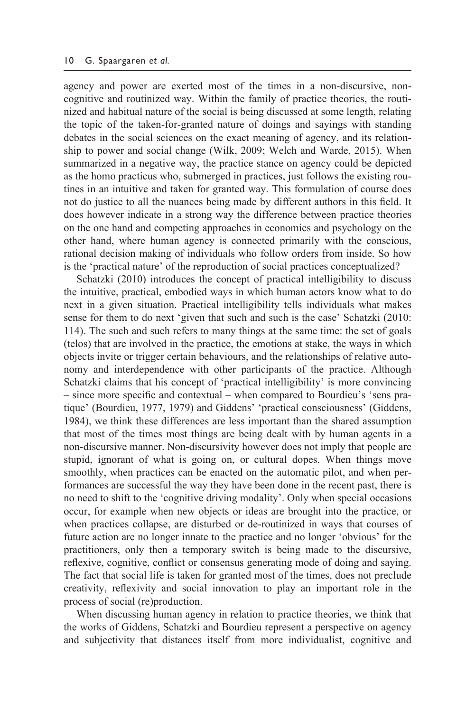agency and power are exerted most of the times in a non-discursive, noncognitive and routinized way. Within the family of practice theories, the routinized and habitual nature of the social is being discussed at some length, relating the topic of the taken- for-granted nature of doings and sayings with standing debates in the social sciences on the exact meaning of agency, and its relationship to power and social change (Wilk, 2009; Welch and Warde, 2015). When summarized in a negative way, the practice stance on agency could be depicted as the homo practicus who, submerged in practices, just follows the existing routines in an intuitive and taken for granted way. This formulation of course does not do justice to all the nuances being made by different authors in this field. It does however indicate in a strong way the difference between practice theories on the one hand and competing approaches in economics and psychology on the other hand, where human agency is connected primarily with the conscious, rational decision making of individuals who follow orders from inside. So how is the 'practical nature' of the reproduction of social practices conceptualized?

 Schatzki (2010) introduces the concept of practical intelligibility to discuss the intuitive, practical, embodied ways in which human actors know what to do next in a given situation. Practical intelligibility tells individuals what makes sense for them to do next 'given that such and such is the case' Schatzki (2010: 114). The such and such refers to many things at the same time: the set of goals (telos) that are involved in the practice, the emotions at stake, the ways in which objects invite or trigger certain behaviours, and the relationships of relative autonomy and interdependence with other participants of the practice. Although Schatzki claims that his concept of 'practical intelligibility' is more convincing – since more specific and contextual – when compared to Bourdieu's 'sens pratique' (Bourdieu, 1977, 1979) and Giddens' 'practical consciousness' (Giddens, 1984), we think these differences are less important than the shared assumption that most of the times most things are being dealt with by human agents in a non- discursive manner. Non- discursivity however does not imply that people are stupid, ignorant of what is going on, or cultural dopes. When things move smoothly, when practices can be enacted on the automatic pilot, and when performances are successful the way they have been done in the recent past, there is no need to shift to the 'cognitive driving modality'. Only when special occasions occur, for example when new objects or ideas are brought into the practice, or when practices collapse, are disturbed or de- routinized in ways that courses of future action are no longer innate to the practice and no longer 'obvious' for the practitioners, only then a temporary switch is being made to the discursive, reflexive, cognitive, conflict or consensus generating mode of doing and saying. The fact that social life is taken for granted most of the times, does not preclude creativity, reflexivity and social innovation to play an important role in the process of social (re)production.

 When discussing human agency in relation to practice theories, we think that the works of Giddens, Schatzki and Bourdieu represent a perspective on agency and subjectivity that distances itself from more individualist, cognitive and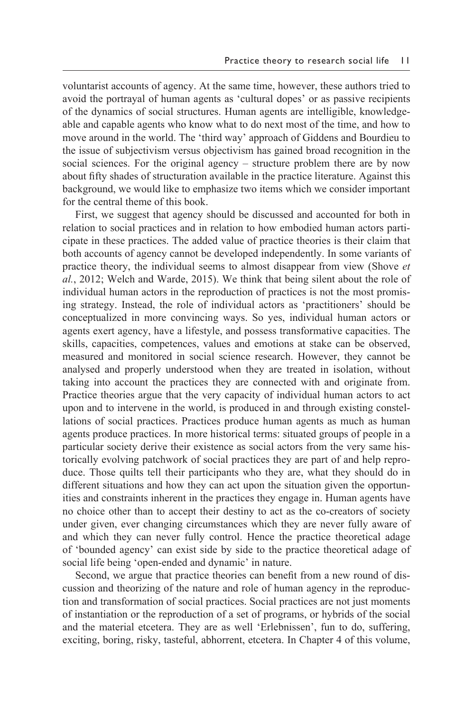voluntarist accounts of agency. At the same time, however, these authors tried to avoid the portrayal of human agents as 'cultural dopes' or as passive recipients of the dynamics of social structures. Human agents are intelligible, knowledgeable and capable agents who know what to do next most of the time, and how to move around in the world. The 'third way' approach of Giddens and Bourdieu to the issue of subjectivism versus objectivism has gained broad recognition in the social sciences. For the original agency – structure problem there are by now about fifty shades of structuration available in the practice literature. Against this background, we would like to emphasize two items which we consider important for the central theme of this book.

 First, we suggest that agency should be discussed and accounted for both in relation to social practices and in relation to how embodied human actors participate in these practices. The added value of practice theories is their claim that both accounts of agency cannot be developed independently. In some variants of practice theory, the individual seems to almost disappear from view (Shove *et al.*, 2012; Welch and Warde, 2015). We think that being silent about the role of individual human actors in the reproduction of practices is not the most promising strategy. Instead, the role of individual actors as 'practitioners' should be conceptualized in more convincing ways. So yes, individual human actors or agents exert agency, have a lifestyle, and possess transformative capacities. The skills, capacities, competences, values and emotions at stake can be observed, measured and monitored in social science research. However, they cannot be analysed and properly understood when they are treated in isolation, without taking into account the practices they are connected with and originate from. Practice theories argue that the very capacity of individual human actors to act upon and to intervene in the world, is produced in and through existing constellations of social practices. Practices produce human agents as much as human agents produce practices. In more historical terms: situated groups of people in a particular society derive their existence as social actors from the very same historically evolving patchwork of social practices they are part of and help reproduce. Those quilts tell their participants who they are, what they should do in different situations and how they can act upon the situation given the opportunities and constraints inherent in the practices they engage in. Human agents have no choice other than to accept their destiny to act as the co- creators of society under given, ever changing circumstances which they are never fully aware of and which they can never fully control. Hence the practice theoretical adage of 'bounded agency' can exist side by side to the practice theoretical adage of social life being 'open-ended and dynamic' in nature.

 Second, we argue that practice theories can benefit from a new round of discussion and theorizing of the nature and role of human agency in the reproduction and transformation of social practices. Social practices are not just moments of instantiation or the reproduction of a set of programs, or hybrids of the social and the material etcetera. They are as well 'Erlebnissen', fun to do, suffering, exciting, boring, risky, tasteful, abhorrent, etcetera. In [Chapter 4](#page--1-0) of this volume,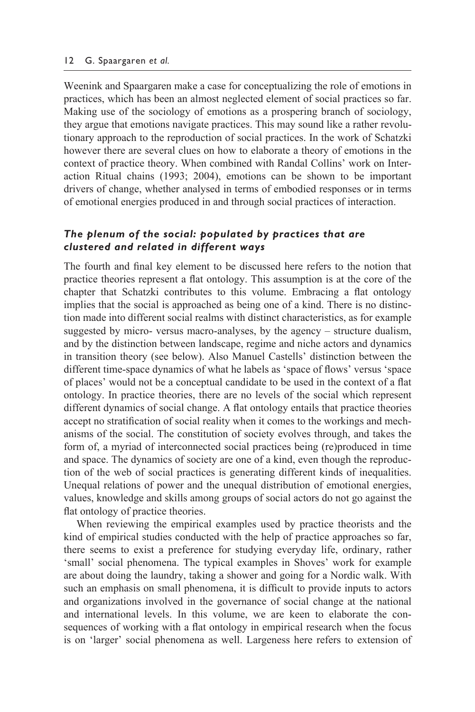#### 12 G. Spaargaren *et al.*

Weenink and Spaargaren make a case for conceptualizing the role of emotions in practices, which has been an almost neglected element of social practices so far. Making use of the sociology of emotions as a prospering branch of sociology, they argue that emotions navigate practices. This may sound like a rather revolutionary approach to the reproduction of social practices. In the work of Schatzki however there are several clues on how to elaborate a theory of emotions in the context of practice theory. When combined with Randal Collins' work on Interaction Ritual chains (1993; 2004), emotions can be shown to be important drivers of change, whether analysed in terms of embodied responses or in terms of emotional energies produced in and through social practices of interaction.

## *The plenum of the social: populated by practices that are clustered and related in different ways*

The fourth and final key element to be discussed here refers to the notion that practice theories represent a flat ontology. This assumption is at the core of the [chapter that Schatzki](#page--1-0) contributes to this volume. Embracing a flat ontology implies that the social is approached as being one of a kind. There is no distinction made into different social realms with distinct characteristics, as for example suggested by micro- versus macro-analyses, by the agency – structure dualism, and by the distinction between landscape, regime and niche actors and dynamics in transition theory (see below). Also Manuel Castells' distinction between the different time- space dynamics of what he labels as 'space of flows' versus 'space of places' would not be a conceptual candidate to be used in the context of a flat ontology. In practice theories, there are no levels of the social which represent different dynamics of social change. A flat ontology entails that practice theories accept no stratification of social reality when it comes to the workings and mechanisms of the social. The constitution of society evolves through, and takes the form of, a myriad of interconnected social practices being (re)produced in time and space. The dynamics of society are one of a kind, even though the reproduction of the web of social practices is generating different kinds of inequalities. Unequal relations of power and the unequal distribution of emotional energies, values, knowledge and skills among groups of social actors do not go against the flat ontology of practice theories.

 When reviewing the empirical examples used by practice theorists and the kind of empirical studies conducted with the help of practice approaches so far, there seems to exist a preference for studying everyday life, ordinary, rather 'small' social phenomena. The typical examples in Shoves' work for example are about doing the laundry, taking a shower and going for a Nordic walk. With such an emphasis on small phenomena, it is difficult to provide inputs to actors and organizations involved in the governance of social change at the national and international levels. In this volume, we are keen to elaborate the consequences of working with a flat ontology in empirical research when the focus is on 'larger' social phenomena as well. Largeness here refers to extension of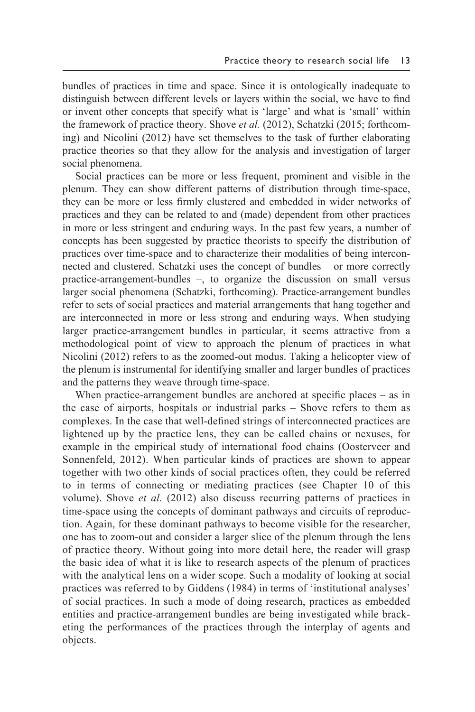bundles of practices in time and space. Since it is ontologically inadequate to distinguish between different levels or layers within the social, we have to find or invent other concepts that specify what is 'large' and what is 'small' within the framework of practice theory. Shove *et al.* (2012), Schatzki (2015; forthcoming) and Nicolini (2012) have set themselves to the task of further elaborating practice theories so that they allow for the analysis and investigation of larger social phenomena.

 Social practices can be more or less frequent, prominent and visible in the plenum. They can show different patterns of distribution through time- space, they can be more or less firmly clustered and embedded in wider networks of practices and they can be related to and (made) dependent from other practices in more or less stringent and enduring ways. In the past few years, a number of concepts has been suggested by practice theorists to specify the distribution of practices over time- space and to characterize their modalities of being interconnected and clustered. Schatzki uses the concept of bundles – or more correctly practice- arrangement-bundles –, to organize the discussion on small versus larger social phenomena (Schatzki, forthcoming). Practice-arrangement bundles refer to sets of social practices and material arrangements that hang together and are interconnected in more or less strong and enduring ways. When studying larger practice-arrangement bundles in particular, it seems attractive from a methodological point of view to approach the plenum of practices in what Nicolini (2012) refers to as the zoomed-out modus. Taking a helicopter view of the plenum is instrumental for identifying smaller and larger bundles of practices and the patterns they weave through time-space.

When practice-arrangement bundles are anchored at specific places – as in the case of airports, hospitals or industrial parks – Shove refers to them as complexes. In the case that well- defined strings of interconnected practices are lightened up by the practice lens, they can be called chains or nexuses, for example in the empirical study of international food chains (Oosterveer and Sonnenfeld, 2012). When particular kinds of practices are shown to appear together with two other kinds of social practices often, they could be referred to in terms of connecting or mediating practices (see [Chapter 10](#page--1-0) of this volume). Shove *et al.* (2012) also discuss recurring patterns of practices in time- space using the concepts of dominant pathways and circuits of reproduction. Again, for these dominant pathways to become visible for the researcher, one has to zoom- out and consider a larger slice of the plenum through the lens of practice theory. Without going into more detail here, the reader will grasp the basic idea of what it is like to research aspects of the plenum of practices with the analytical lens on a wider scope. Such a modality of looking at social practices was referred to by Giddens (1984) in terms of 'institutional analyses' of social practices. In such a mode of doing research, practices as embedded entities and practice- arrangement bundles are being investigated while bracketing the performances of the practices through the interplay of agents and objects.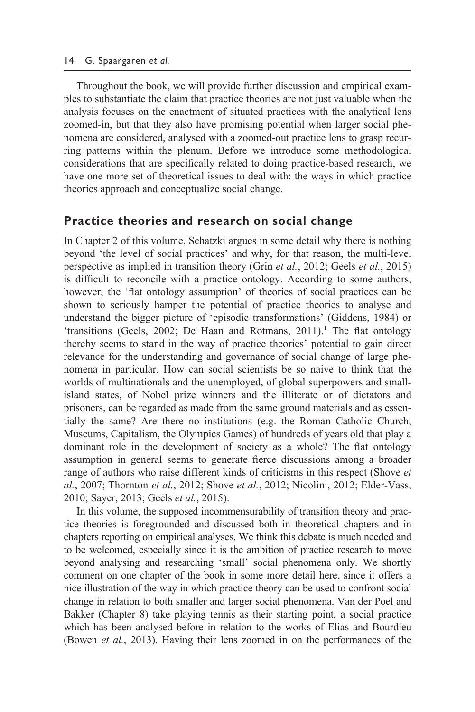Throughout the book, we will provide further discussion and empirical examples to substantiate the claim that practice theories are not just valuable when the analysis focuses on the enactment of situated practices with the analytical lens zoomed-in, but that they also have promising potential when larger social phenomena are considered, analysed with a zoomed-out practice lens to grasp recurring patterns within the plenum. Before we introduce some methodological considerations that are specifically related to doing practice- based research, we have one more set of theoretical issues to deal with: the ways in which practice theories approach and conceptualize social change.

#### **Practice theories and research on social change**

In [Chapter 2](#page--1-0) of this volume, Schatzki argues in some detail why there is nothing beyond 'the level of social practices' and why, for that reason, the multi-level perspective as implied in transition theory (Grin *et al.*, 2012; Geels *et al.*, 2015) is difficult to reconcile with a practice ontology. According to some authors, however, the 'flat ontology assumption' of theories of social practices can be shown to seriously hamper the potential of practice theories to analyse and understand the bigger picture of 'episodic transformations' (Giddens, 1984) or 'transitions (Geels, 2002; De Haan and Rotmans, 2011).<sup>1</sup> The flat ontology thereby seems to stand in the way of practice theories' potential to gain direct relevance for the understanding and governance of social change of large phenomena in particular. How can social scientists be so naive to think that the worlds of multinationals and the unemployed, of global superpowers and smallisland states, of Nobel prize winners and the illiterate or of dictators and prisoners, can be regarded as made from the same ground materials and as essentially the same? Are there no institutions (e.g. the Roman Catholic Church, Museums, Capitalism, the Olympics Games) of hundreds of years old that play a dominant role in the development of society as a whole? The flat ontology assumption in general seems to generate fierce discussions among a broader range of authors who raise different kinds of criticisms in this respect (Shove *et al.*, 2007; Thornton *et al.*, 2012; Shove *et al.*, 2012; Nicolini, 2012; Elder- Vass, 2010; Sayer, 2013; Geels *et al.*, 2015).

 In this volume, the supposed incommensurability of transition theory and practice theories is foregrounded and discussed both in theoretical chapters and in chapters reporting on empirical analyses. We think this debate is much needed and to be welcomed, especially since it is the ambition of practice research to move beyond analysing and researching 'small' social phenomena only. We shortly comment on one chapter of the book in some more detail here, since it offers a nice illustration of the way in which practice theory can be used to confront social change in relation to both smaller and larger social phenomena. Van der Poel and Bakker [\(Chapter 8\)](#page--1-0) take playing tennis as their starting point, a social practice which has been analysed before in relation to the works of Elias and Bourdieu (Bowen *et al.*, 2013). Having their lens zoomed in on the performances of the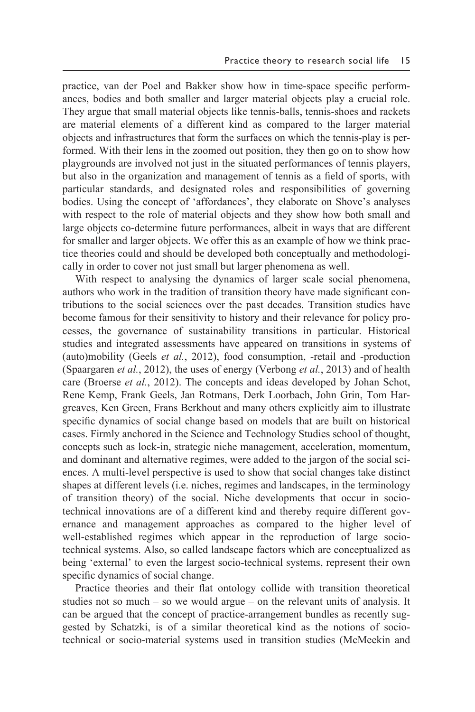practice, van der Poel and Bakker show how in time- space specific performances, bodies and both smaller and larger material objects play a crucial role. They argue that small material objects like tennis- balls, tennis- shoes and rackets are material elements of a different kind as compared to the larger material objects and infrastructures that form the surfaces on which the tennis- play is performed. With their lens in the zoomed out position, they then go on to show how playgrounds are involved not just in the situated performances of tennis players, but also in the organization and management of tennis as a field of sports, with particular standards, and designated roles and responsibilities of governing bodies. Using the concept of 'affordances', they elaborate on Shove's analyses with respect to the role of material objects and they show how both small and large objects co- determine future performances, albeit in ways that are different for smaller and larger objects. We offer this as an example of how we think practice theories could and should be developed both conceptually and methodologically in order to cover not just small but larger phenomena as well.

 With respect to analysing the dynamics of larger scale social phenomena, authors who work in the tradition of transition theory have made significant contributions to the social sciences over the past decades. Transition studies have become famous for their sensitivity to history and their relevance for policy processes, the governance of sustainability transitions in particular. Historical studies and integrated assessments have appeared on transitions in systems of (auto)mobility (Geels *et al.*, 2012), food consumption, -retail and -production (Spaargaren *et al.*, 2012), the uses of energy (Verbong *et al.*, 2013) and of health care (Broerse *et al.*, 2012). The concepts and ideas developed by Johan Schot, Rene Kemp, Frank Geels, Jan Rotmans, Derk Loorbach, John Grin, Tom Hargreaves, Ken Green, Frans Berkhout and many others explicitly aim to illustrate specific dynamics of social change based on models that are built on historical cases. Firmly anchored in the Science and Technology Studies school of thought, concepts such as lock- in, strategic niche management, acceleration, momentum, and dominant and alternative regimes, were added to the jargon of the social sciences. A multi-level perspective is used to show that social changes take distinct shapes at different levels (i.e. niches, regimes and landscapes, in the terminology of transition theory) of the social. Niche developments that occur in sociotechnical innovations are of a different kind and thereby require different governance and management approaches as compared to the higher level of well- established regimes which appear in the reproduction of large sociotechnical systems. Also, so called landscape factors which are conceptualized as being 'external' to even the largest socio- technical systems, represent their own specific dynamics of social change.

 Practice theories and their flat ontology collide with transition theoretical studies not so much – so we would argue – on the relevant units of analysis. It can be argued that the concept of practice- arrangement bundles as recently suggested by Schatzki, is of a similar theoretical kind as the notions of sociotechnical or socio- material systems used in transition studies (McMeekin and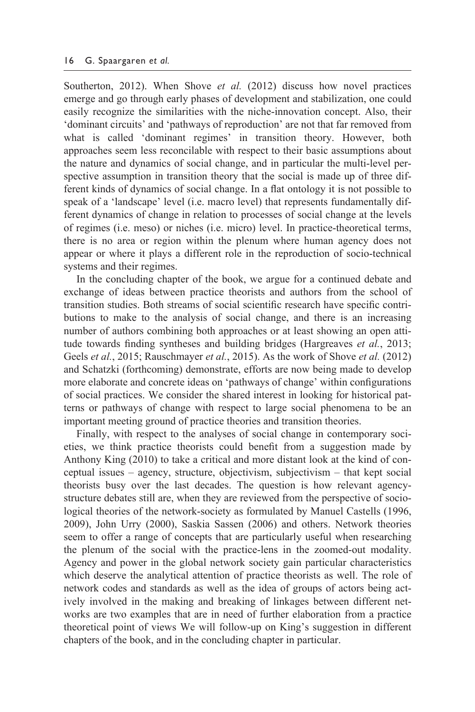Southerton, 2012). When Shove *et al.* (2012) discuss how novel practices emerge and go through early phases of development and stabilization, one could easily recognize the similarities with the niche- innovation concept. Also, their 'dominant circuits' and 'pathways of reproduction' are not that far removed from what is called 'dominant regimes' in transition theory. However, both approaches seem less reconcilable with respect to their basic assumptions about the nature and dynamics of social change, and in particular the multi- level perspective assumption in transition theory that the social is made up of three different kinds of dynamics of social change. In a flat ontology it is not possible to speak of a 'landscape' level (i.e. macro level) that represents fundamentally different dynamics of change in relation to processes of social change at the levels of regimes (i.e. meso) or niches (i.e. micro) level. In practice- theoretical terms, there is no area or region within the plenum where human agency does not appear or where it plays a different role in the reproduction of socio- technical systems and their regimes.

 In the concluding chapter of the book, we argue for a continued debate and exchange of ideas between practice theorists and authors from the school of transition studies. Both streams of social scientific research have specific contributions to make to the analysis of social change, and there is an increasing number of authors combining both approaches or at least showing an open attitude towards finding syntheses and building bridges (Hargreaves *et al.*, 2013; Geels *et al.*, 2015; Rauschmayer *et al.*, 2015). As the work of Shove *et al.* (2012) and Schatzki (forthcoming) demonstrate, efforts are now being made to develop more elaborate and concrete ideas on 'pathways of change' within configurations of social practices. We consider the shared interest in looking for historical patterns or pathways of change with respect to large social phenomena to be an important meeting ground of practice theories and transition theories.

 Finally, with respect to the analyses of social change in contemporary societies, we think practice theorists could benefit from a suggestion made by Anthony King (2010) to take a critical and more distant look at the kind of conceptual issues – agency, structure, objectivism, subjectivism – that kept social theorists busy over the last decades. The question is how relevant agencystructure debates still are, when they are reviewed from the perspective of sociological theories of the network-society as formulated by Manuel Castells (1996, 2009), John Urry (2000), Saskia Sassen (2006) and others. Network theories seem to offer a range of concepts that are particularly useful when researching the plenum of the social with the practice-lens in the zoomed-out modality. Agency and power in the global network society gain particular characteristics which deserve the analytical attention of practice theorists as well. The role of network codes and standards as well as the idea of groups of actors being actively involved in the making and breaking of linkages between different networks are two examples that are in need of further elaboration from a practice theoretical point of views We will follow-up on King's suggestion in different chapters of the book, and in the concluding chapter in particular.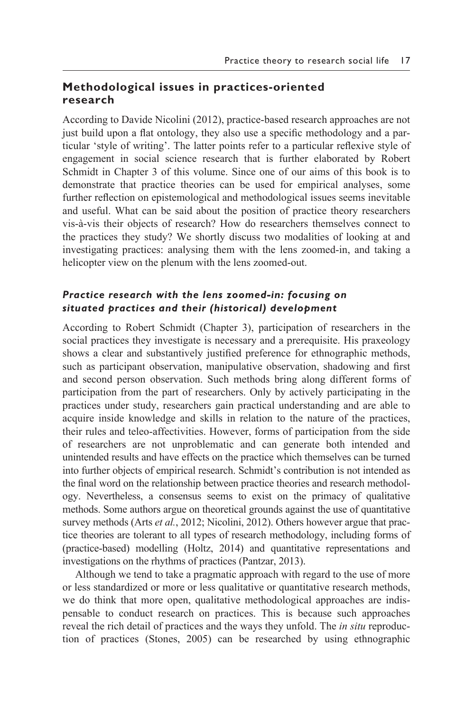## **Methodological issues in practices- oriented research**

According to Davide Nicolini (2012), practice- based research approaches are not just build upon a flat ontology, they also use a specific methodology and a particular 'style of writing'. The latter points refer to a particular reflexive style of engagement in social science research that is further elaborated by Robert Schmidt in [Chapter 3](#page--1-0) of this volume. Since one of our aims of this book is to demonstrate that practice theories can be used for empirical analyses, some further reflection on epistemological and methodological issues seems inevitable and useful. What can be said about the position of practice theory researchers vis- à-vis their objects of research? How do researchers themselves connect to the practices they study? We shortly discuss two modalities of looking at and investigating practices: analysing them with the lens zoomed-in, and taking a helicopter view on the plenum with the lens zoomed-out.

## *Practice research with the lens zoomed- in: focusing on situated practices and their (historical) development*

According to Robert Schmidt [\(Chapter 3\),](#page--1-0) participation of researchers in the social practices they investigate is necessary and a prerequisite. His praxeology shows a clear and substantively justified preference for ethnographic methods, such as participant observation, manipulative observation, shadowing and first and second person observation. Such methods bring along different forms of participation from the part of researchers. Only by actively participating in the practices under study, researchers gain practical understanding and are able to acquire inside knowledge and skills in relation to the nature of the practices, their rules and teleo- affectivities. However, forms of participation from the side of researchers are not unproblematic and can generate both intended and unintended results and have effects on the practice which themselves can be turned into further objects of empirical research. Schmidt's contribution is not intended as the final word on the relationship between practice theories and research methodology. Nevertheless, a consensus seems to exist on the primacy of qualitative methods. Some authors argue on theoretical grounds against the use of quantitative survey methods (Arts *et al.*, 2012; Nicolini, 2012). Others however argue that practice theories are tolerant to all types of research methodology, including forms of (practice- based) modelling (Holtz, 2014) and quantitative representations and investigations on the rhythms of practices (Pantzar, 2013).

 Although we tend to take a pragmatic approach with regard to the use of more or less standardized or more or less qualitative or quantitative research methods, we do think that more open, qualitative methodological approaches are indispensable to conduct research on practices. This is because such approaches reveal the rich detail of practices and the ways they unfold. The *in situ* reproduction of practices (Stones, 2005) can be researched by using ethnographic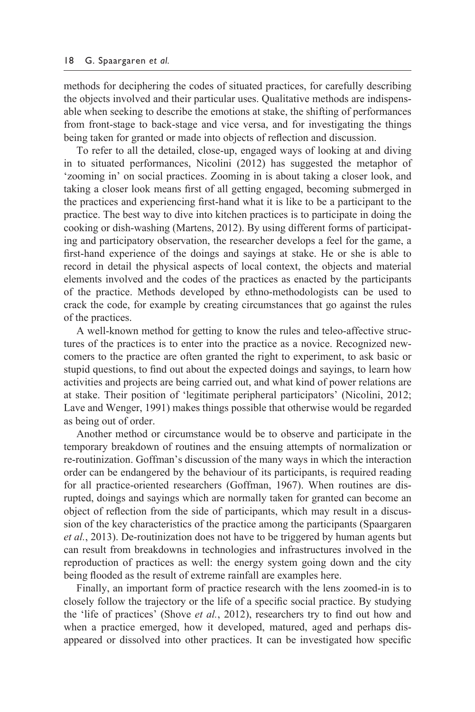methods for deciphering the codes of situated practices, for carefully describing the objects involved and their particular uses. Qualitative methods are indispensable when seeking to describe the emotions at stake, the shifting of performances from front- stage to back- stage and vice versa, and for investigating the things being taken for granted or made into objects of reflection and discussion.

To refer to all the detailed, close-up, engaged ways of looking at and diving in to situated performances, Nicolini (2012) has suggested the metaphor of 'zooming in' on social practices. Zooming in is about taking a closer look, and taking a closer look means first of all getting engaged, becoming submerged in the practices and experiencing first- hand what it is like to be a participant to the practice. The best way to dive into kitchen practices is to participate in doing the cooking or dish- washing (Martens, 2012). By using different forms of participating and participatory observation, the researcher develops a feel for the game, a first- hand experience of the doings and sayings at stake. He or she is able to record in detail the physical aspects of local context, the objects and material elements involved and the codes of the practices as enacted by the participants of the practice. Methods developed by ethno- methodologists can be used to crack the code, for example by creating circumstances that go against the rules of the practices.

A well-known method for getting to know the rules and teleo-affective structures of the practices is to enter into the practice as a novice. Recognized newcomers to the practice are often granted the right to experiment, to ask basic or stupid questions, to find out about the expected doings and sayings, to learn how activities and projects are being carried out, and what kind of power relations are at stake. Their position of 'legitimate peripheral participators' (Nicolini, 2012; Lave and Wenger, 1991) makes things possible that otherwise would be regarded as being out of order.

 Another method or circumstance would be to observe and participate in the temporary breakdown of routines and the ensuing attempts of normalization or re- routinization. Goffman's discussion of the many ways in which the interaction order can be endangered by the behaviour of its participants, is required reading for all practice- oriented researchers (Goffman, 1967). When routines are disrupted, doings and sayings which are normally taken for granted can become an object of reflection from the side of participants, which may result in a discussion of the key characteristics of the practice among the participants (Spaargaren et al., 2013). De-routinization does not have to be triggered by human agents but can result from breakdowns in technologies and infrastructures involved in the reproduction of practices as well: the energy system going down and the city being flooded as the result of extreme rainfall are examples here.

Finally, an important form of practice research with the lens zoomed-in is to closely follow the trajectory or the life of a specific social practice. By studying the 'life of practices' (Shove *et al.*, 2012), researchers try to find out how and when a practice emerged, how it developed, matured, aged and perhaps disappeared or dissolved into other practices. It can be investigated how specific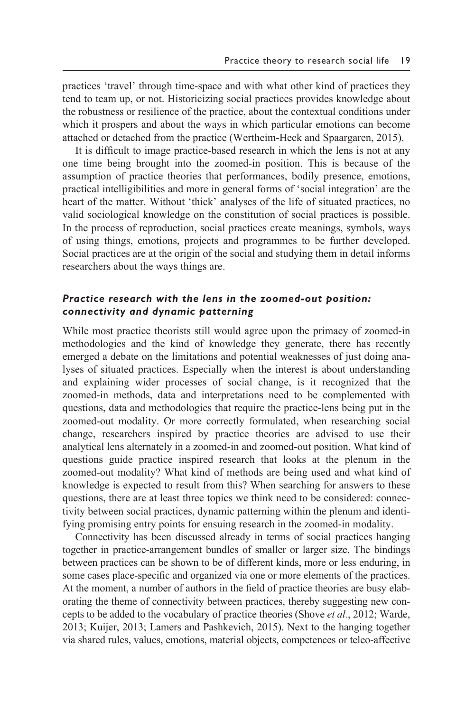practices 'travel' through time- space and with what other kind of practices they tend to team up, or not. Historicizing social practices provides knowledge about the robustness or resilience of the practice, about the contextual conditions under which it prospers and about the ways in which particular emotions can become attached or detached from the practice (Wertheim- Heck and Spaargaren, 2015).

 It is difficult to image practice- based research in which the lens is not at any one time being brought into the zoomed-in position. This is because of the assumption of practice theories that performances, bodily presence, emotions, practical intelligibilities and more in general forms of 'social integration' are the heart of the matter. Without 'thick' analyses of the life of situated practices, no valid sociological knowledge on the constitution of social practices is possible. In the process of reproduction, social practices create meanings, symbols, ways of using things, emotions, projects and programmes to be further developed. Social practices are at the origin of the social and studying them in detail informs researchers about the ways things are.

## *Practice research with the lens in the zoomed- out position: connectivity and dynamic patterning*

While most practice theorists still would agree upon the primacy of zoomed-in methodologies and the kind of knowledge they generate, there has recently emerged a debate on the limitations and potential weaknesses of just doing analyses of situated practices. Especially when the interest is about understanding and explaining wider processes of social change, is it recognized that the zoomed-in methods, data and interpretations need to be complemented with questions, data and methodologies that require the practice- lens being put in the zoomed-out modality. Or more correctly formulated, when researching social change, researchers inspired by practice theories are advised to use their analytical lens alternately in a zoomed-in and zoomed-out position. What kind of questions guide practice inspired research that looks at the plenum in the zoomed-out modality? What kind of methods are being used and what kind of knowledge is expected to result from this? When searching for answers to these questions, there are at least three topics we think need to be considered: connectivity between social practices, dynamic patterning within the plenum and identifying promising entry points for ensuing research in the zoomed-in modality.

 Connectivity has been discussed already in terms of social practices hanging together in practice- arrangement bundles of smaller or larger size. The bindings between practices can be shown to be of different kinds, more or less enduring, in some cases place- specific and organized via one or more elements of the practices. At the moment, a number of authors in the field of practice theories are busy elaborating the theme of connectivity between practices, thereby suggesting new concepts to be added to the vocabulary of practice theories (Shove *et al.*, 2012; Warde, 2013; Kuijer, 2013; Lamers and Pashkevich, 2015). Next to the hanging together via shared rules, values, emotions, material objects, competences or teleo- affective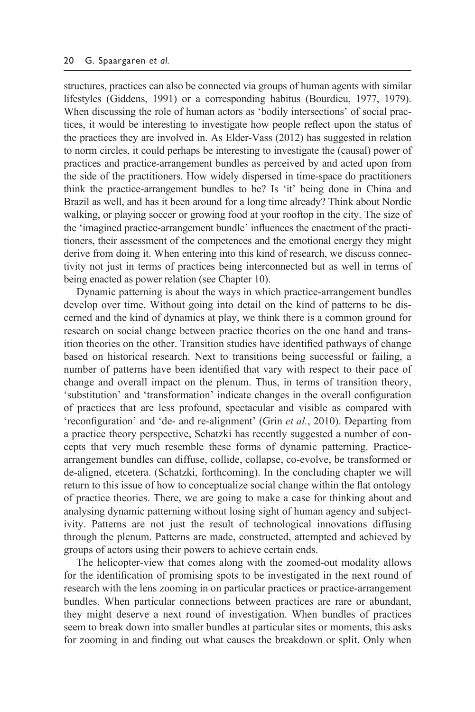structures, practices can also be connected via groups of human agents with similar lifestyles (Giddens, 1991) or a corresponding habitus (Bourdieu, 1977, 1979). When discussing the role of human actors as 'bodily intersections' of social practices, it would be interesting to investigate how people reflect upon the status of the practices they are involved in. As Elder-Vass (2012) has suggested in relation to norm circles, it could perhaps be interesting to investigate the (causal) power of practices and practice- arrangement bundles as perceived by and acted upon from the side of the practitioners. How widely dispersed in time- space do practitioners think the practice- arrangement bundles to be? Is 'it' being done in China and Brazil as well, and has it been around for a long time already? Think about Nordic walking, or playing soccer or growing food at your rooftop in the city. The size of the 'imagined practice- arrangement bundle' influences the enactment of the practitioners, their assessment of the competences and the emotional energy they might derive from doing it. When entering into this kind of research, we discuss connectivity not just in terms of practices being interconnected but as well in terms of being enacted as power relation (see [Chapter 10\).](#page--1-0)

Dynamic patterning is about the ways in which practice-arrangement bundles develop over time. Without going into detail on the kind of patterns to be discerned and the kind of dynamics at play, we think there is a common ground for research on social change between practice theories on the one hand and transition theories on the other. Transition studies have identified pathways of change based on historical research. Next to transitions being successful or failing, a number of patterns have been identified that vary with respect to their pace of change and overall impact on the plenum. Thus, in terms of transition theory, 'substitution' and 'transformation' indicate changes in the overall configuration of practices that are less profound, spectacular and visible as compared with 'reconfiguration' and 'de- and re- alignment' (Grin *et al.*, 2010). Departing from a practice theory perspective, Schatzki has recently suggested a number of concepts that very much resemble these forms of dynamic patterning. Practicearrangement bundles can diffuse, collide, collapse, co-evolve, be transformed or de- aligned, etcetera. (Schatzki, forthcoming). In the concluding chapter we will return to this issue of how to conceptualize social change within the flat ontology of practice theories. There, we are going to make a case for thinking about and analysing dynamic patterning without losing sight of human agency and subjectivity. Patterns are not just the result of technological innovations diffusing through the plenum. Patterns are made, constructed, attempted and achieved by groups of actors using their powers to achieve certain ends.

The helicopter-view that comes along with the zoomed-out modality allows for the identification of promising spots to be investigated in the next round of research with the lens zooming in on particular practices or practice- arrangement bundles. When particular connections between practices are rare or abundant, they might deserve a next round of investigation. When bundles of practices seem to break down into smaller bundles at particular sites or moments, this asks for zooming in and finding out what causes the breakdown or split. Only when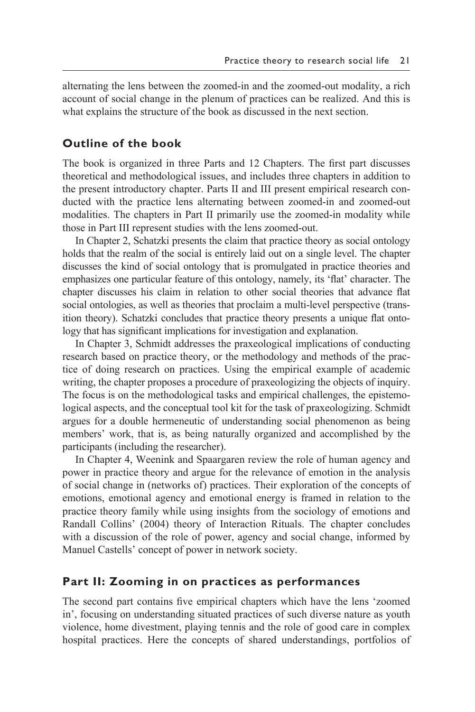alternating the lens between the zoomed- in and the zoomed- out modality, a rich account of social change in the plenum of practices can be realized. And this is what explains the structure of the book as discussed in th[e next section.](#page--1-0)

## **Outline of the book**

The book is organized in three Parts and 12 Chapters. The [first part](#page--1-0) discusses theoretical and methodological issues, and includes three chapters in addition to the present [introductory chapter. Parts II](#page--1-0) and [III](#page--1-0) present empirical research conducted with the practice lens alternating between zoomed-in and zoomed-out modalities. The chapters in [Part II](#page--1-0) primarily use the zoomed-in modality while those in [Part III](#page--1-0) represent studies with the lens zoomed-out.

 In [Chapter 2,](#page--1-0) Schatzki presents the claim that practice theory as social ontology holds that the realm of the social is entirely laid out on a single level. The chapter discusses the kind of social ontology that is promulgated in practice theories and emphasizes one particular feature of this ontology, namely, its 'flat' character. The chapter discusses his claim in relation to other social theories that advance flat social ontologies, as well as theories that proclaim a multi- level perspective (transition theory). Schatzki concludes that practice theory presents a unique flat ontology that has significant implications for investigation and explanation.

 In [Chapter 3,](#page--1-0) Schmidt addresses the praxeological implications of conducting research based on practice theory, or the methodology and methods of the practice of doing research on practices. Using the empirical example of academic writing, the chapter proposes a procedure of praxeologizing the objects of inquiry. The focus is on the methodological tasks and empirical challenges, the epistemological aspects, and the conceptual tool kit for the task of praxeologizing. Schmidt argues for a double hermeneutic of understanding social phenomenon as being members' work, that is, as being naturally organized and accomplished by the participants (including the researcher).

 In [Chapter 4,](#page--1-0) Weenink and Spaargaren review the role of human agency and power in practice theory and argue for the relevance of emotion in the analysis of social change in (networks of ) practices. Their exploration of the concepts of emotions, emotional agency and emotional energy is framed in relation to the practice theory family while using insights from the sociology of emotions and Randall Collins' (2004) theory of Interaction Rituals. The chapter concludes with a discussion of the role of power, agency and social change, informed by Manuel Castells' concept of power in network society.

## **Part II: Zooming in on practices as performances**

The [second part](#page--1-0) contains five empirical chapters which have the lens 'zoomed in', focusing on understanding situated practices of such diverse nature as youth violence, home divestment, playing tennis and the role of good care in complex hospital practices. Here the concepts of shared understandings, portfolios of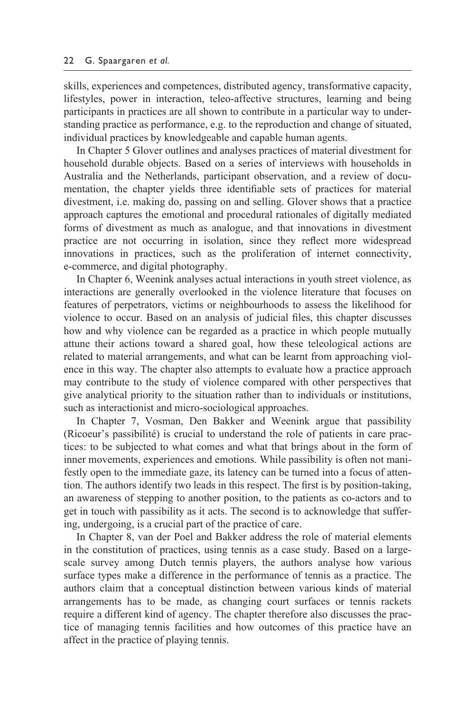skills, experiences and competences, distributed agency, transformative capacity, lifestyles, power in interaction, teleo- affective structures, learning and being participants in practices are all shown to contribute in a particular way to understanding practice as performance, e.g. to the reproduction and change of situated, individual practices by knowledgeable and capable human agents.

 In [Chapter 5 G](#page--1-0)lover outlines and analyses practices of material divestment for household durable objects. Based on a series of interviews with households in Australia and the Netherlands, participant observation, and a review of documentation, the chapter yields three identifiable sets of practices for material divestment, i.e. making do, passing on and selling. Glover shows that a practice approach captures the emotional and procedural rationales of digitally mediated forms of divestment as much as analogue, and that innovations in divestment practice are not occurring in isolation, since they reflect more widespread innovations in practices, such as the proliferation of internet connectivity, e- commerce, and digital photography.

 In [Chapter 6,](#page--1-0) Weenink analyses actual interactions in youth street violence, as interactions are generally overlooked in the violence literature that focuses on features of perpetrators, victims or neighbourhoods to assess the likelihood for violence to occur. Based on an analysis of judicial files, this chapter discusses how and why violence can be regarded as a practice in which people mutually attune their actions toward a shared goal, how these teleological actions are related to material arrangements, and what can be learnt from approaching violence in this way. The chapter also attempts to evaluate how a practice approach may contribute to the study of violence compared with other perspectives that give analytical priority to the situation rather than to individuals or institutions, such as interactionist and micro-sociological approaches.

 In [Chapter 7,](#page--1-0) Vosman, Den Bakker and Weenink argue that passibility (Ricoeur's passibilité) is crucial to understand the role of patients in care practices: to be subjected to what comes and what that brings about in the form of inner movements, experiences and emotions. While passibility is often not manifestly open to the immediate gaze, its latency can be turned into a focus of attention. The authors identify two leads in this respect. The first is by position- taking, an awareness of stepping to another position, to the patients as co- actors and to get in touch with passibility as it acts. The second is to acknowledge that suffering, undergoing, is a crucial part of the practice of care.

 In [Chapter 8,](#page--1-0) van der Poel and Bakker address the role of material elements in the constitution of practices, using tennis as a case study. Based on a largescale survey among Dutch tennis players, the authors analyse how various surface types make a difference in the performance of tennis as a practice. The authors claim that a conceptual distinction between various kinds of material arrangements has to be made, as changing court surfaces or tennis rackets require a different kind of agency. The chapter therefore also discusses the practice of managing tennis facilities and how outcomes of this practice have an affect in the practice of playing tennis.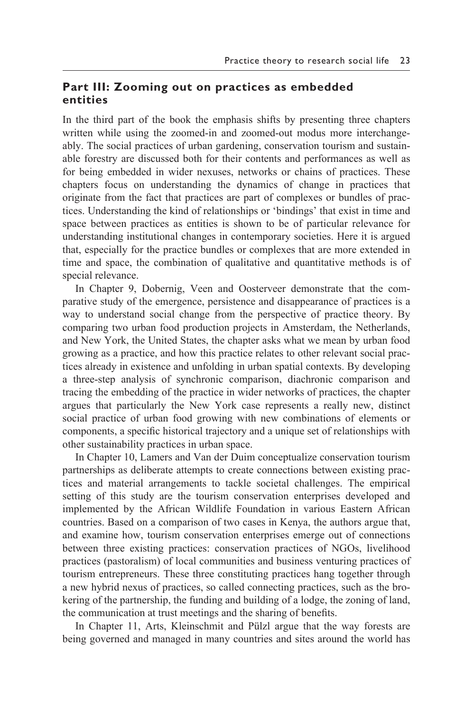## **Part III: Zooming out on practices as embedded entities**

In the [third part](#page--1-0) of the book the emphasis shifts by presenting three chapters written while using the zoomed-in and zoomed-out modus more interchangeably. The social practices of urban gardening, conservation tourism and sustainable forestry are discussed both for their contents and performances as well as for being embedded in wider nexuses, networks or chains of practices. These chapters focus on understanding the dynamics of change in practices that originate from the fact that practices are part of complexes or bundles of practices. Understanding the kind of relationships or 'bindings' that exist in time and space between practices as entities is shown to be of particular relevance for understanding institutional changes in contemporary societies. Here it is argued that, especially for the practice bundles or complexes that are more extended in time and space, the combination of qualitative and quantitative methods is of special relevance.

 In [Chapter 9,](#page--1-0) Dobernig, Veen and Oosterveer demonstrate that the comparative study of the emergence, persistence and disappearance of practices is a way to understand social change from the perspective of practice theory. By comparing two urban food production projects in Amsterdam, the Netherlands, and New York, the United States, the chapter asks what we mean by urban food growing as a practice, and how this practice relates to other relevant social practices already in existence and unfolding in urban spatial contexts. By developing a three- step analysis of synchronic comparison, diachronic comparison and tracing the embedding of the practice in wider networks of practices, the chapter argues that particularly the New York case represents a really new, distinct social practice of urban food growing with new combinations of elements or components, a specific historical trajectory and a unique set of relationships with other sustainability practices in urban space.

 In [Chapter 10,](#page--1-0) Lamers and Van der Duim conceptualize conservation tourism partnerships as deliberate attempts to create connections between existing practices and material arrangements to tackle societal challenges. The empirical setting of this study are the tourism conservation enterprises developed and implemented by the African Wildlife Foundation in various Eastern African countries. Based on a comparison of two cases in Kenya, the authors argue that, and examine how, tourism conservation enterprises emerge out of connections between three existing practices: conservation practices of NGOs, livelihood practices (pastoralism) of local communities and business venturing practices of tourism entrepreneurs. These three constituting practices hang together through a new hybrid nexus of practices, so called connecting practices, such as the brokering of the partnership, the funding and building of a lodge, the zoning of land, the communication at trust meetings and the sharing of benefits.

 In [Chapter 11,](#page--1-0) Arts, Kleinschmit and Pülzl argue that the way forests are being governed and managed in many countries and sites around the world has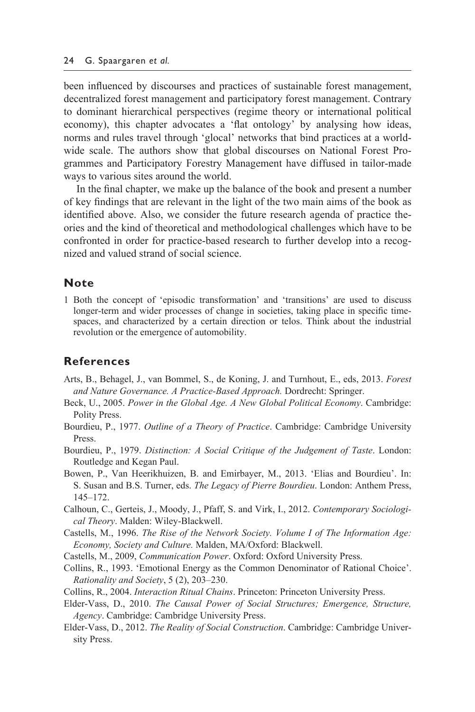been influenced by discourses and practices of sustainable forest management, decentralized forest management and participatory forest management. Contrary to dominant hierarchical perspectives (regime theory or international political economy), this chapter advocates a 'flat ontology' by analysing how ideas, norms and rules travel through 'glocal' networks that bind practices at a worldwide scale. The authors show that global discourses on National Forest Programmes and Participatory Forestry Management have diffused in tailor- made ways to various sites around the world.

 In the [final chapter,](#page--1-0) we make up the balance of the book and present a number of key findings that are relevant in the light of the two main aims of the book as identified above. Also, we consider the future research agenda of practice theories and the kind of theoretical and methodological challenges which have to be confronted in order for practice- based research to further develop into a recognized and valued strand of social science.

## **Note**

[1](#page--1-0) Both the concept of 'episodic transformation' and 'transitions' are used to discuss longer- term and wider processes of change in societies, taking place in specific timespaces, and characterized by a certain direction or telos. Think about the industrial revolution or the emergence of automobility.

## **References**

- Arts, B., Behagel, J., van Bommel, S., de Koning, J. and Turnhout, E., eds, 2013. *Forest and Nature Governance. A Practice- Based Approach.* Dordrecht: Springer.
- Beck, U., 2005. *Power in the Global Age. A New Global Political Economy*. Cambridge: Polity Press.
- Bourdieu, P., 1977. *Outline of a Theory of Practice*. Cambridge: Cambridge University Press.
- Bourdieu, P., 1979. *Distinction: A Social Critique of the Judgement of Taste*. London: Routledge and Kegan Paul.
- Bowen, P., Van Heerikhuizen, B. and Emirbayer, M., 2013. 'Elias and Bourdieu'. In: S. Susan and B.S. Turner, eds. *The Legacy of Pierre Bourdieu*. London: Anthem Press, 145–172.
- Calhoun, C., Gerteis, J., Moody, J., Pfaff, S. and Virk, I., 2012. *Contemporary Sociological Theory*. Malden: Wiley-Blackwell.
- Castells, M., 1996. *The Rise of the Network Society. Volume I of The Information Age: Economy, Society and Culture.* Malden, MA/Oxford: Blackwell.
- Castells, M., 2009, *Communication Power*. Oxford: Oxford University Press.
- Collins, R., 1993. 'Emotional Energy as the Common Denominator of Rational Choice'. *Rationality and Society*, 5 (2), 203–230.
- Collins, R., 2004. *Interaction Ritual Chains*. Princeton: Princeton University Press.
- Elder- Vass, D., 2010. *The Causal Power of Social Structures; Emergence, Structure, Agency*. Cambridge: Cambridge University Press.
- Elder- Vass, D., 2012. *The Reality of Social Construction*. Cambridge: Cambridge University Press.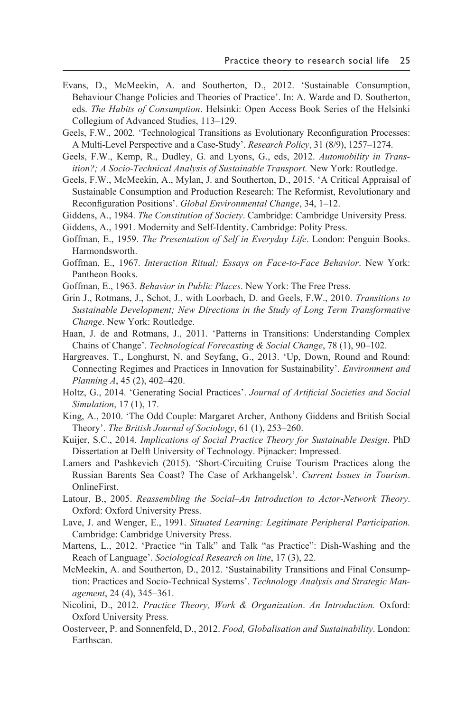- Evans, D., McMeekin, A. and Southerton, D., 2012. 'Sustainable Consumption, Behaviour Change Policies and Theories of Practice'. In: A. Warde and D. Southerton, eds. *The Habits of Consumption*. Helsinki: Open Access Book Series of the Helsinki Collegium of Advanced Studies, 113–129.
- Geels, F.W., 2002. 'Technological Transitions as Evolutionary Reconfiguration Processes: A Multi- Level Perspective and a Case- Study'. *Research Policy*, 31 (8/9), 1257–1274.
- Geels, F.W., Kemp, R., Dudley, G. and Lyons, G., eds, 2012. *Automobility in Transition?; A Socio- Technical Analysis of Sustainable Transport.* New York: Routledge.
- Geels, F.W., McMeekin, A., Mylan, J. and Southerton, D., 2015. 'A Critical Appraisal of Sustainable Consumption and Production Research: The Reformist, Revolutionary and Reconfiguration Positions'. *Global Environmental Change*, 34, 1–12.
- Giddens, A., 1984. *The Constitution of Society*. Cambridge: Cambridge University Press.
- Giddens, A., 1991. Modernity and Self- Identity. Cambridge: Polity Press.
- Goffman, E., 1959. *The Presentation of Self in Everyday Life*. London: Penguin Books. Harmondsworth.
- Goffman, E., 1967. *Interaction Ritual; Essays on Face- to-Face Behavior*. New York: Pantheon Books.
- Goffman, E., 1963. *Behavior in Public Places*. New York: The Free Press.
- Grin J., Rotmans, J., Schot, J., with Loorbach, D. and Geels, F.W., 2010. *Transitions to Sustainable Development; New Directions in the Study of Long Term Transformative Change*. New York: Routledge.
- Haan, J. de and Rotmans, J., 2011. 'Patterns in Transitions: Understanding Complex Chains of Change'. *Technological Forecasting & Social Change*, 78 (1), 90–102.
- Hargreaves, T., Longhurst, N. and Seyfang, G., 2013. 'Up, Down, Round and Round: Connecting Regimes and Practices in Innovation for Sustainability'. *Environment and Planning A*, 45 (2), 402–420.
- Holtz, G., 2014. 'Generating Social Practices'. *Journal of Artificial Societies and Social Simulation*, 17 (1), 17.
- King, A., 2010. 'The Odd Couple: Margaret Archer, Anthony Giddens and British Social Theory'. *The British Journal of Sociology*, 61 (1), 253–260.
- Kuijer, S.C., 2014. *Implications of Social Practice Theory for Sustainable Design*. PhD Dissertation at Delft University of Technology. Pijnacker: Impressed.
- Lamers and Pashkevich (2015). 'Short- Circuiting Cruise Tourism Practices along the Russian Barents Sea Coast? The Case of Arkhangelsk'. *Current Issues in Tourism*. OnlineFirst.
- Latour, B., 2005. *Reassembling the Social–An Introduction to Actor- Network Theory*. Oxford: Oxford University Press.
- Lave, J. and Wenger, E., 1991. *Situated Learning: Legitimate Peripheral Participation.* Cambridge: Cambridge University Press.
- Martens, L., 2012. 'Practice "in Talk" and Talk "as Practice": Dish-Washing and the Reach of Language'. *Sociological Research on line*, 17 (3), 22.
- McMeekin, A. and Southerton, D., 2012. 'Sustainability Transitions and Final Consumption: Practices and Socio- Technical Systems'. *Technology Analysis and Strategic Management*, 24 (4), 345–361.
- Nicolini, D., 2012. *Practice Theory, Work & Organization*. *An Introduction.* Oxford: Oxford University Press.
- Oosterveer, P. and Sonnenfeld, D., 2012. *Food, Globalisation and Sustainability*. London: Earthscan.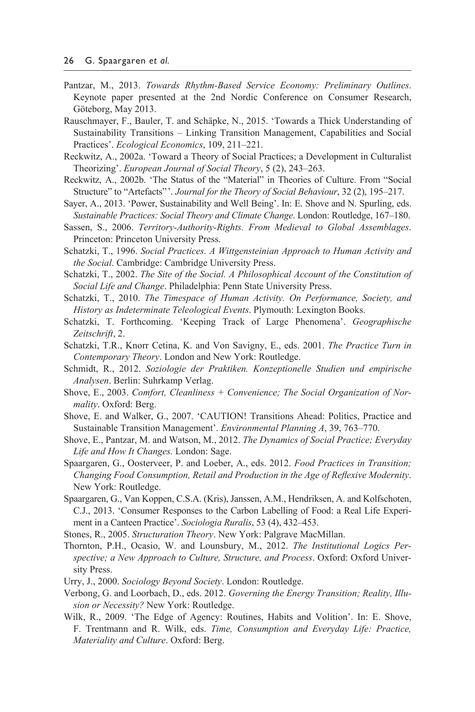- Pantzar, M., 2013. *Towards Rhythm- Based Service Economy: Preliminary Outlines*. Keynote paper presented at the 2nd Nordic Conference on Consumer Research, Göteborg, May 2013.
- Rauschmayer, F., Bauler, T. and Schäpke, N., 2015. 'Towards a Thick Understanding of Sustainability Transitions – Linking Transition Management, Capabilities and Social Practices'. *Ecological Economics*, 109, 211–221.
- Reckwitz, A., 2002a. 'Toward a Theory of Social Practices; a Development in Culturalist Theorizing'. *European Journal of Social Theory*, 5 (2), 243–263.
- Reckwitz, A., 2002b. 'The Status of the "Material" in Theories of Culture. From "Social Structure" to "Artefacts" '. *Journal for the Theory of Social Behaviour*, 32 (2), 195–217.
- Sayer, A., 2013. 'Power, Sustainability and Well Being'. In: E. Shove and N. Spurling, eds. *Sustainable Practices: Social Theory and Climate Change*. London: Routledge, 167–180.
- Sassen, S., 2006. *Territory- Authority-Rights. From Medieval to Global Assemblages*. Princeton: Princeton University Press.
- Schatzki, T., 1996. *Social Practices. A Wittgensteinian Approach to Human Activity and the Social*. Cambridge: Cambridge University Press.
- Schatzki, T., 2002. *The Site of the Social. A Philosophical Account of the Constitution of Social Life and Change*. Philadelphia: Penn State University Press.
- Schatzki, T., 2010. *The Timespace of Human Activity. On Performance, Society, and History as Indeterminate Teleological Events*. Plymouth: Lexington Books.
- Schatzki, T. Forthcoming. 'Keeping Track of Large Phenomena'. *Geographische Zeitschrift*, 2.
- Schatzki, T.R., Knorr Cetina, K. and Von Savigny, E., eds. 2001. *The Practice Turn in Contemporary Theory*. London and New York: Routledge.
- Schmidt, R., 2012. *Soziologie der Praktiken. Konzeptionelle Studien und empirische Analysen*. Berlin: Suhrkamp Verlag.
- Shove, E., 2003. *Comfort, Cleanliness + Convenience; The Social Organization of Normality*. Oxford: Berg.
- Shove, E. and Walker, G., 2007. 'CAUTION! Transitions Ahead: Politics, Practice and Sustainable Transition Management'. *Environmental Planning A*, 39, 763–770.
- Shove, E., Pantzar, M. and Watson, M., 2012. *The Dynamics of Social Practice; Everyday Life and How It Changes.* London: Sage.
- Spaargaren, G., Oosterveer, P. and Loeber, A., eds. 2012. *Food Practices in Transition; Changing Food Consumption, Retail and Production in the Age of Reflexive Modernity*. New York: Routledge.
- Spaargaren, G., Van Koppen, C.S.A. (Kris), Janssen, A.M., Hendriksen, A. and Kolfschoten, C.J., 2013. 'Consumer Responses to the Carbon Labelling of Food: a Real Life Experiment in a Canteen Practice'. *Sociologia Ruralis*, 53 (4), 432–453.
- Stones, R., 2005. *Structuration Theory*. New York: Palgrave MacMillan.
- Thornton, P.H., Ocasio, W. and Lounsbury, M., 2012. *The Institutional Logics Perspective; a New Approach to Culture, Structure, and Process*. Oxford: Oxford University Press.
- Urry, J., 2000. *Sociology Beyond Society*. London: Routledge.
- Verbong, G. and Loorbach, D., eds. 2012. *Governing the Energy Transition; Reality, Illusion or Necessity?* New York: Routledge.
- Wilk, R., 2009. 'The Edge of Agency: Routines, Habits and Volition'. In: E. Shove, F. Trentmann and R. Wilk, eds. *Time, Consumption and Everyday Life: Practice, Materiality and Culture*. Oxford: Berg.